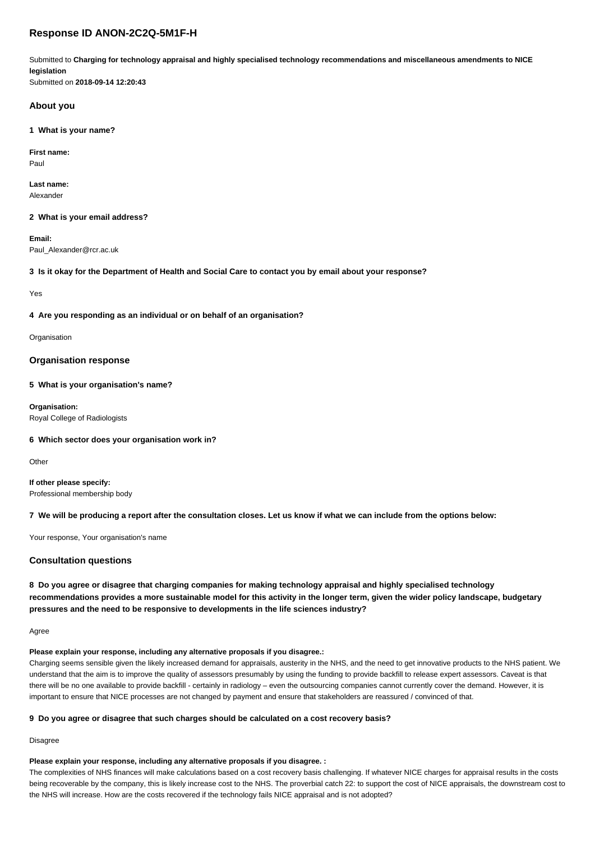# **Response ID ANON-2C2Q-5M1F-H**

Submitted to **Charging for technology appraisal and highly specialised technology recommendations and miscellaneous amendments to NICE legislation**

Submitted on **2018-09-14 12:20:43**

## **About you**

**1 What is your name?**

**First name:** Paul

**Last name:** Alexander

**2 What is your email address?**

**Email:** Paul\_Alexander@rcr.ac.uk

**3 Is it okay for the Department of Health and Social Care to contact you by email about your response?**

Yes

**4 Are you responding as an individual or on behalf of an organisation?**

Organisation

## **Organisation response**

**5 What is your organisation's name?**

**Organisation:** Royal College of Radiologists

**6 Which sector does your organisation work in?**

**Other** 

**If other please specify:** Professional membership body

#### **7 We will be producing a report after the consultation closes. Let us know if what we can include from the options below:**

Your response, Your organisation's name

# **Consultation questions**

**8 Do you agree or disagree that charging companies for making technology appraisal and highly specialised technology recommendations provides a more sustainable model for this activity in the longer term, given the wider policy landscape, budgetary pressures and the need to be responsive to developments in the life sciences industry?**

Agree

### **Please explain your response, including any alternative proposals if you disagree.:**

Charging seems sensible given the likely increased demand for appraisals, austerity in the NHS, and the need to get innovative products to the NHS patient. We understand that the aim is to improve the quality of assessors presumably by using the funding to provide backfill to release expert assessors. Caveat is that there will be no one available to provide backfill - certainly in radiology – even the outsourcing companies cannot currently cover the demand. However, it is important to ensure that NICE processes are not changed by payment and ensure that stakeholders are reassured / convinced of that.

# **9 Do you agree or disagree that such charges should be calculated on a cost recovery basis?**

Disagree

#### **Please explain your response, including any alternative proposals if you disagree. :**

The complexities of NHS finances will make calculations based on a cost recovery basis challenging. If whatever NICE charges for appraisal results in the costs being recoverable by the company, this is likely increase cost to the NHS. The proverbial catch 22: to support the cost of NICE appraisals, the downstream cost to the NHS will increase. How are the costs recovered if the technology fails NICE appraisal and is not adopted?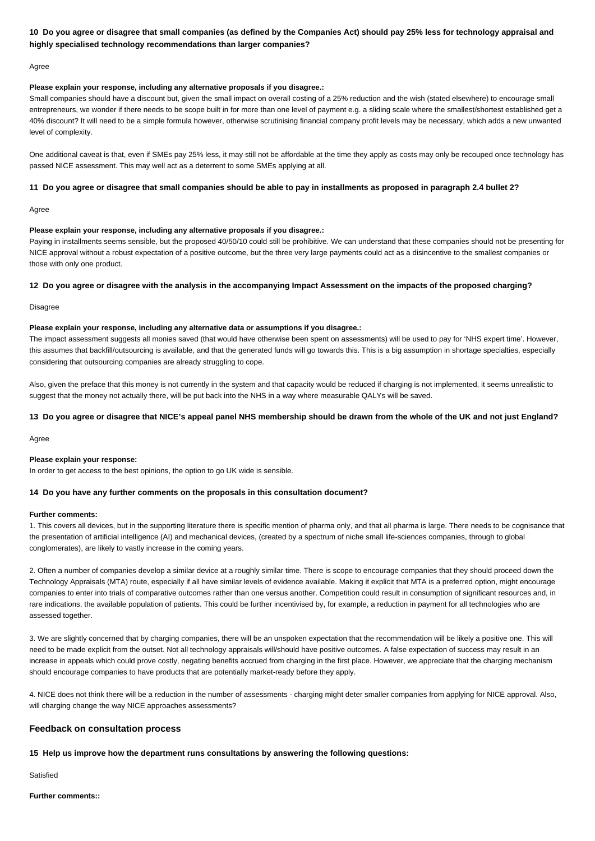# **10 Do you agree or disagree that small companies (as defined by the Companies Act) should pay 25% less for technology appraisal and highly specialised technology recommendations than larger companies?**

Agree

#### **Please explain your response, including any alternative proposals if you disagree.:**

Small companies should have a discount but, given the small impact on overall costing of a 25% reduction and the wish (stated elsewhere) to encourage small entrepreneurs, we wonder if there needs to be scope built in for more than one level of payment e.g. a sliding scale where the smallest/shortest established get a 40% discount? It will need to be a simple formula however, otherwise scrutinising financial company profit levels may be necessary, which adds a new unwanted level of complexity.

One additional caveat is that, even if SMEs pay 25% less, it may still not be affordable at the time they apply as costs may only be recouped once technology has passed NICE assessment. This may well act as a deterrent to some SMEs applying at all.

#### **11 Do you agree or disagree that small companies should be able to pay in installments as proposed in paragraph 2.4 bullet 2?**

Agree

#### **Please explain your response, including any alternative proposals if you disagree.:**

Paying in installments seems sensible, but the proposed 40/50/10 could still be prohibitive. We can understand that these companies should not be presenting for NICE approval without a robust expectation of a positive outcome, but the three very large payments could act as a disincentive to the smallest companies or those with only one product.

#### **12 Do you agree or disagree with the analysis in the accompanying Impact Assessment on the impacts of the proposed charging?**

Disagree

#### **Please explain your response, including any alternative data or assumptions if you disagree.:**

The impact assessment suggests all monies saved (that would have otherwise been spent on assessments) will be used to pay for 'NHS expert time'. However, this assumes that backfill/outsourcing is available, and that the generated funds will go towards this. This is a big assumption in shortage specialties, especially considering that outsourcing companies are already struggling to cope.

Also, given the preface that this money is not currently in the system and that capacity would be reduced if charging is not implemented, it seems unrealistic to suggest that the money not actually there, will be put back into the NHS in a way where measurable QALYs will be saved.

## **13 Do you agree or disagree that NICE's appeal panel NHS membership should be drawn from the whole of the UK and not just England?**

Agree

#### **Please explain your response:**

In order to get access to the best opinions, the option to go UK wide is sensible.

#### **14 Do you have any further comments on the proposals in this consultation document?**

#### **Further comments:**

1. This covers all devices, but in the supporting literature there is specific mention of pharma only, and that all pharma is large. There needs to be cognisance that the presentation of artificial intelligence (AI) and mechanical devices, (created by a spectrum of niche small life-sciences companies, through to global conglomerates), are likely to vastly increase in the coming years.

2. Often a number of companies develop a similar device at a roughly similar time. There is scope to encourage companies that they should proceed down the Technology Appraisals (MTA) route, especially if all have similar levels of evidence available. Making it explicit that MTA is a preferred option, might encourage companies to enter into trials of comparative outcomes rather than one versus another. Competition could result in consumption of significant resources and, in rare indications, the available population of patients. This could be further incentivised by, for example, a reduction in payment for all technologies who are assessed together.

3. We are slightly concerned that by charging companies, there will be an unspoken expectation that the recommendation will be likely a positive one. This will need to be made explicit from the outset. Not all technology appraisals will/should have positive outcomes. A false expectation of success may result in an increase in appeals which could prove costly, negating benefits accrued from charging in the first place. However, we appreciate that the charging mechanism should encourage companies to have products that are potentially market-ready before they apply.

4. NICE does not think there will be a reduction in the number of assessments - charging might deter smaller companies from applying for NICE approval. Also, will charging change the way NICE approaches assessments?

## **Feedback on consultation process**

#### **15 Help us improve how the department runs consultations by answering the following questions:**

**Satisfied** 

**Further comments::**